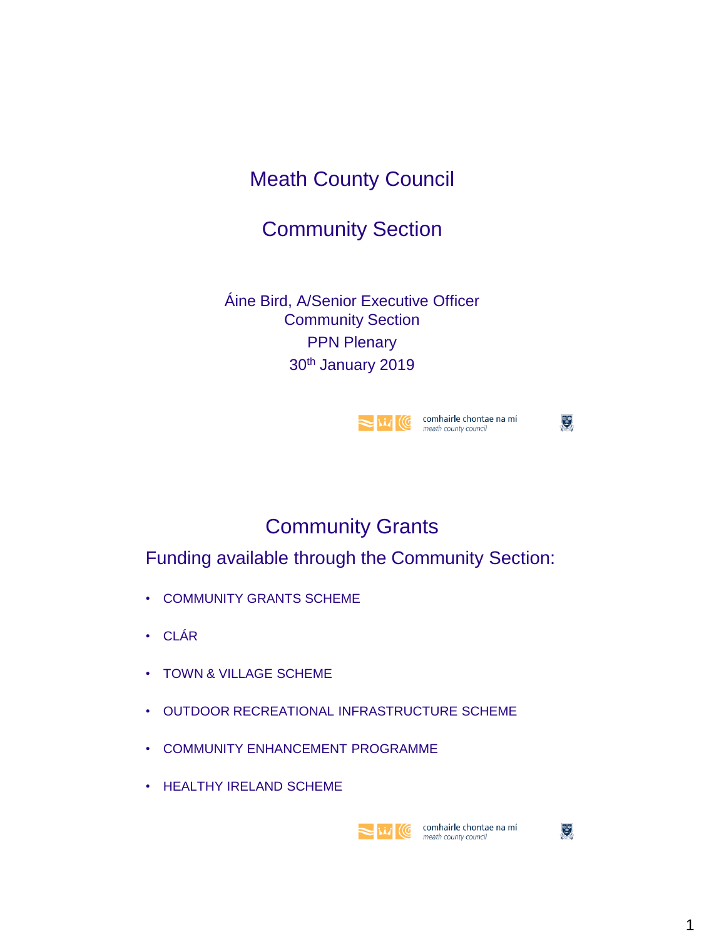## Meath County Council

### Community Section

Áine Bird, A/Senior Executive Officer Community Section PPN Plenary 30th January 2019



 $\mathbf{C}$ 

### Community Grants

Funding available through the Community Section:

- COMMUNITY GRANTS SCHEME
- CLÁR
- TOWN & VILLAGE SCHEME
- OUTDOOR RECREATIONAL INFRASTRUCTURE SCHEME
- COMMUNITY ENHANCEMENT PROGRAMME
- HEALTHY IRELAND SCHEME



**NATION** COMPOSITION COMPOSITION COMPANY COUNTER TO A MOVE THAT ONLY COUNTER THE REPORT OF THE REPORT OF THE REPORT OF THE REPORT OF THE REPORT OF THE REPORT OF THE REPORT OF THE REPORT OF THE REPORT OF THE REPORT OF THE R meath county council

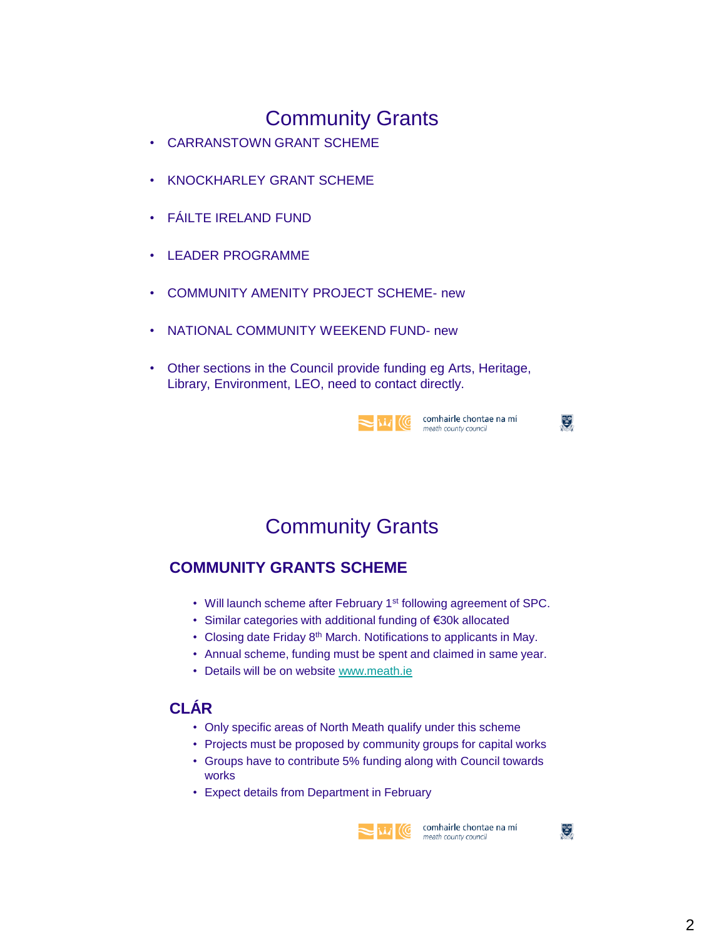- CARRANSTOWN GRANT SCHEME
- KNOCKHARLEY GRANT SCHEME
- FÁILTE IRELAND FUND
- LEADER PROGRAMME
- COMMUNITY AMENITY PROJECT SCHEME- new
- NATIONAL COMMUNITY WEEKEND FUND- new
- Other sections in the Council provide funding eg Arts, Heritage, Library, Environment, LEO, need to contact directly.

|  | CΩ |
|--|----|
|  | mc |

omhairle chontae na mí eath county council

 $\mathbf{e}$ 

Community Grants

#### **COMMUNITY GRANTS SCHEME**

- Will launch scheme after February 1<sup>st</sup> following agreement of SPC.
- Similar categories with additional funding of €30k allocated
- Closing date Friday 8<sup>th</sup> March. Notifications to applicants in May.
- Annual scheme, funding must be spent and claimed in same year.
- Details will be on website [www.meath.ie](http://www.meath.ie/)

#### **CLÁR**

- Only specific areas of North Meath qualify under this scheme
- Projects must be proposed by community groups for capital works
- Groups have to contribute 5% funding along with Council towards works
- Expect details from Department in February



 $\frac{1}{2}$  **NA**  $\frac{1}{2}$  **CC** comhairle chontae na mí meath county council

 $\mathbb{C}^{\bullet}$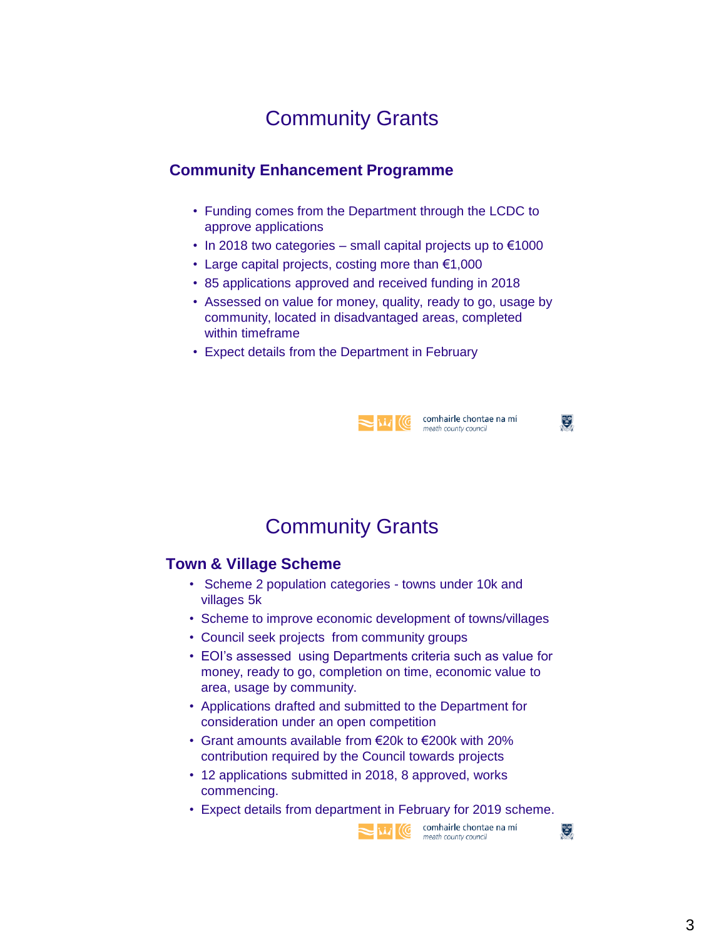#### **Community Enhancement Programme**

- Funding comes from the Department through the LCDC to approve applications
- In 2018 two categories small capital projects up to  $\epsilon$ 1000
- Large capital projects, costing more than  $€1,000$
- 85 applications approved and received funding in 2018
- Assessed on value for money, quality, ready to go, usage by community, located in disadvantaged areas, completed within timeframe
- Expect details from the Department in February



VAN COMPANIE Chontae na mí

 $\mathbf{C}$ 

### Community Grants

#### **Town & Village Scheme**

- Scheme 2 population categories towns under 10k and villages 5k
- Scheme to improve economic development of towns/villages
- Council seek projects from community groups
- EOI's assessed using Departments criteria such as value for money, ready to go, completion on time, economic value to area, usage by community.
- Applications drafted and submitted to the Department for consideration under an open competition
- Grant amounts available from €20k to €200k with 20% contribution required by the Council towards projects
- 12 applications submitted in 2018, 8 approved, works commencing.
- Expect details from department in February for 2019 scheme.



 $\mathbb{C}^{\bullet}$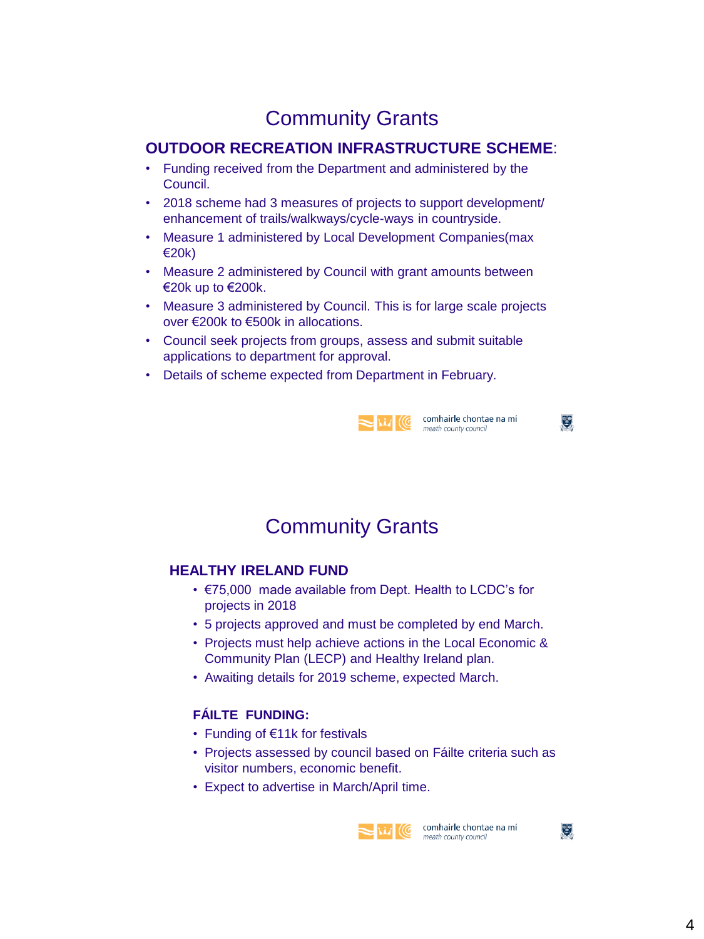#### **OUTDOOR RECREATION INFRASTRUCTURE SCHEME**:

- Funding received from the Department and administered by the Council.
- 2018 scheme had 3 measures of projects to support development/ enhancement of trails/walkways/cycle-ways in countryside.
- Measure 1 administered by Local Development Companies(max €20k)
- Measure 2 administered by Council with grant amounts between €20k up to €200k.
- Measure 3 administered by Council. This is for large scale projects over €200k to €500k in allocations.
- Council seek projects from groups, assess and submit suitable applications to department for approval.
- Details of scheme expected from Department in February.



William Comhairle chontae na mí

S.

 $\mathbb{C}^{\bullet}$ 

### Community Grants

#### **HEALTHY IRELAND FUND**

- €75,000 made available from Dept. Health to LCDC's for projects in 2018
- 5 projects approved and must be completed by end March.
- Projects must help achieve actions in the Local Economic & Community Plan (LECP) and Healthy Ireland plan.
- Awaiting details for 2019 scheme, expected March.

#### **FÁILTE FUNDING:**

- Funding of €11k for festivals
- Projects assessed by council based on Fáilte criteria such as visitor numbers, economic benefit.
- Expect to advertise in March/April time.



meath county council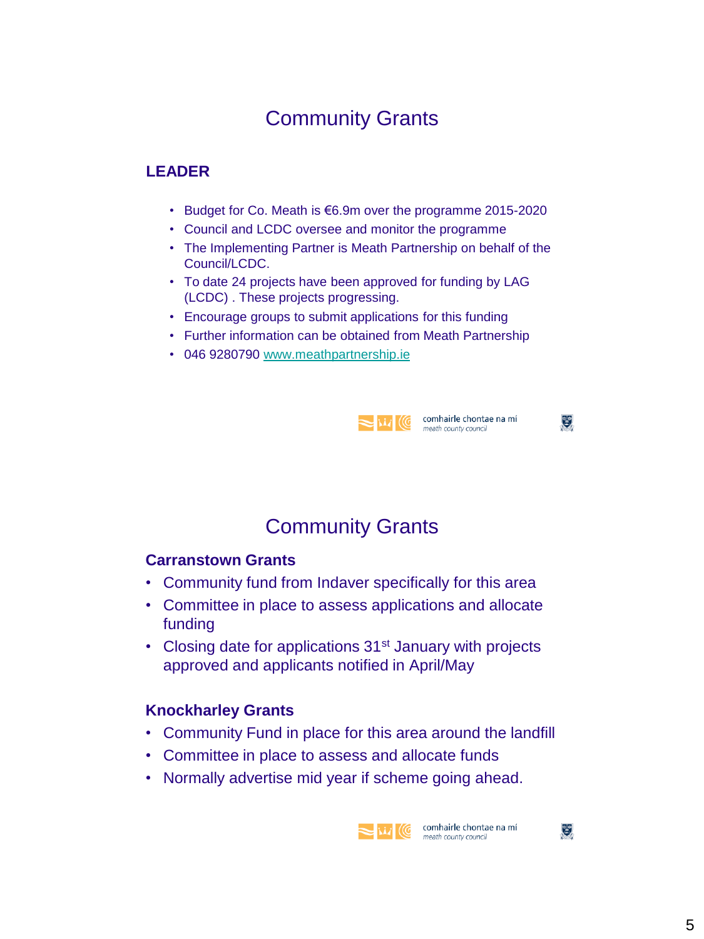#### **LEADER**

- Budget for Co. Meath is €6.9m over the programme 2015-2020
- Council and LCDC oversee and monitor the programme
- The Implementing Partner is Meath Partnership on behalf of the Council/LCDC.
- To date 24 projects have been approved for funding by LAG (LCDC) . These projects progressing.
- Encourage groups to submit applications for this funding
- Further information can be obtained from Meath Partnership
- 046 9280790 [www.meathpartnership.ie](http://www.meathpartnership.ie/)



Will Comhairle chontae na mí

 $\mathfrak{E}$ 

 $\mathbb{E}$ 

### Community Grants

#### **Carranstown Grants**

- Community fund from Indaver specifically for this area
- Committee in place to assess applications and allocate funding
- Closing date for applications 31<sup>st</sup> January with projects approved and applicants notified in April/May

#### **Knockharley Grants**

- Community Fund in place for this area around the landfill
- Committee in place to assess and allocate funds
- Normally advertise mid year if scheme going ahead.

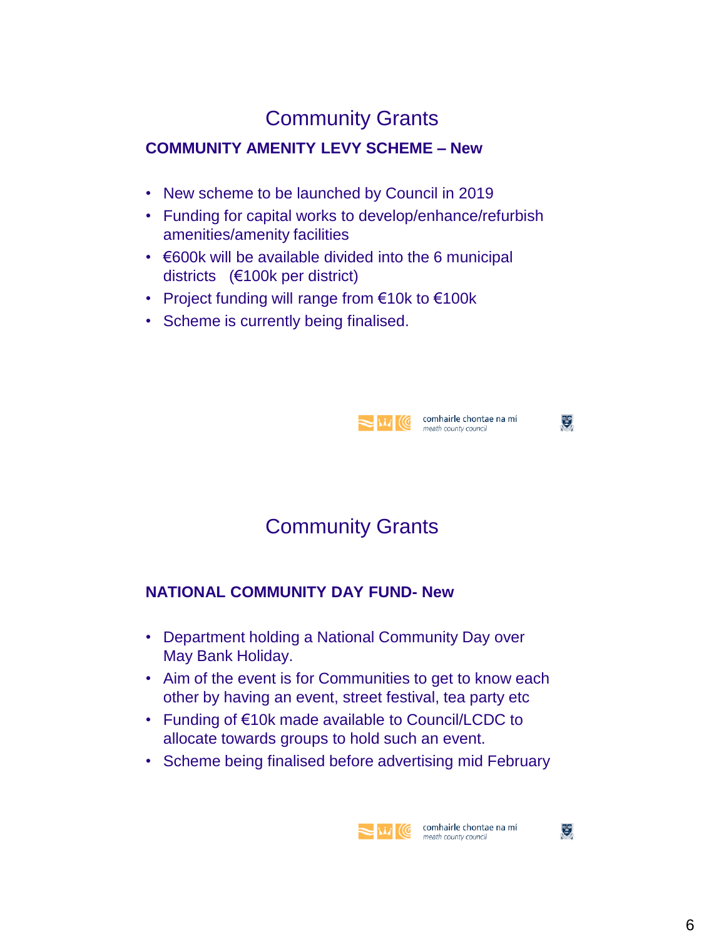#### **COMMUNITY AMENITY LEVY SCHEME – New**

- New scheme to be launched by Council in 2019
- Funding for capital works to develop/enhance/refurbish amenities/amenity facilities
- €600k will be available divided into the 6 municipal districts (€100k per district)
- Project funding will range from €10k to €100k
- Scheme is currently being finalised.



 $\mathfrak{E}$ 

# Community Grants

#### **NATIONAL COMMUNITY DAY FUND- New**

- Department holding a National Community Day over May Bank Holiday.
- Aim of the event is for Communities to get to know each other by having an event, street festival, tea party etc
- Funding of €10k made available to Council/LCDC to allocate towards groups to hold such an event.
- Scheme being finalised before advertising mid February